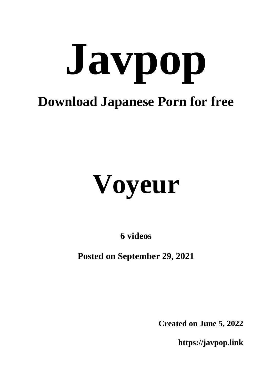



**6 videos**

**Posted on September 29, 2021**

**Created on June 5, 2022**

**<https://javpop.link>**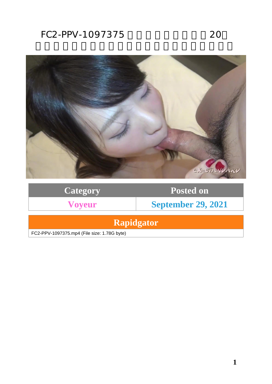#### FC2-PPV-1097375 20



**Category Posted on** 

**[Voyeur](https://javpop.link/category/voyeur) [September 29, 2021](https://javpop.link/2021/09/29)**

**Rapidgator**

[FC2-PPV-1097375.mp4](https://rapidgator.net/file/0f9540b88e219e183c87bf9701e7facf/FC2-PPV-1097375.mp4.html) (File size: 1.78G byte)

**1**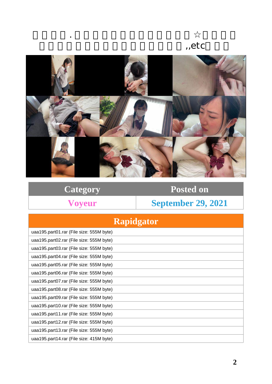## ,,etc



あうたい Product の Product の Product の Product の Product の Product の Product の Product の Product の Product の Produ

# **Category Posted on**

# **[Voyeur](https://javpop.link/category/voyeur) [September 29, 2021](https://javpop.link/2021/09/29)**

| <b>Rapidgator</b>                        |
|------------------------------------------|
| uaa195.part01.rar (File size: 555M byte) |
| uaa195.part02.rar (File size: 555M byte) |
| uaa195.part03.rar (File size: 555M byte) |
| uaa195.part04.rar (File size: 555M byte) |
| uaa195.part05.rar (File size: 555M byte) |
| uaa195.part06.rar (File size: 555M byte) |
| uaa195.part07.rar (File size: 555M byte) |
| uaa195.part08.rar (File size: 555M byte) |
| uaa195.part09.rar (File size: 555M byte) |
| uaa195.part10.rar (File size: 555M byte) |
| uaa195.part11.rar (File size: 555M byte) |
| uaa195.part12.rar (File size: 555M byte) |
| uaa195.part13.rar (File size: 555M byte) |
| uaa195.part14.rar (File size: 415M byte) |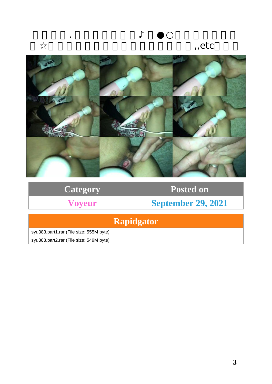#### [ム☆芸能人クラスの美女スマホハメ撮り,,etc5作品](https://javpop.link/%e7%b4%a0%e4%ba%ba%e6%b5%81%e5%87%ba_-%e8%a6%8b%e5%bf%9c%e3%81%88%e3%81%9f%e3%81%a3%e3%81%b7%e3%82%8a%e2%99%aa%e6%b5%85%e2%97%8f%e2%97%8b%e3%82%8a%e3%81%95%e3%82%93)



[素人流出. 見応えたっぷり♪浅●○りさんのアルバ](https://javpop.link/%e7%b4%a0%e4%ba%ba%e6%b5%81%e5%87%ba_-%e8%a6%8b%e5%bf%9c%e3%81%88%e3%81%9f%e3%81%a3%e3%81%b7%e3%82%8a%e2%99%aa%e6%b5%85%e2%97%8f%e2%97%8b%e3%82%8a%e3%81%95%e3%82%93)

# **Category Posted on**

## **[Voyeur](https://javpop.link/category/voyeur) [September 29, 2021](https://javpop.link/2021/09/29)**

## **Rapidgator**

[syu383.part1.rar](https://rapidgator.net/file/3c60875bf5cbb4ae199bee7ec84c7ab0/syu383.part1.rar.html) (File size: 555M byte)

[syu383.part2.rar](https://rapidgator.net/file/007ba29f88dff7c7a19d18b27bf53fd9/syu383.part2.rar.html) (File size: 549M byte)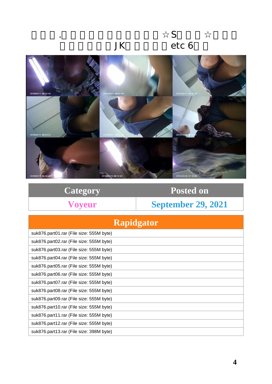$\mathsf{S}$ . Symbols  $\mathsf{S}$ 



# **Category Posted on**

### **[Voyeur](https://javpop.link/category/voyeur) [September 29, 2021](https://javpop.link/2021/09/29)**

| <b>Rapidgator</b>                        |
|------------------------------------------|
| suk876.part01.rar (File size: 555M byte) |
| suk876.part02.rar (File size: 555M byte) |
| suk876.part03.rar (File size: 555M byte) |
| suk876.part04.rar (File size: 555M byte) |
| suk876.part05.rar (File size: 555M byte) |
| suk876.part06.rar (File size: 555M byte) |
| suk876.part07.rar (File size: 555M byte) |
| suk876.part08.rar (File size: 555M byte) |
| suk876.part09.rar (File size: 555M byte) |
| suk876.part10.rar (File size: 555M byte) |
| suk876.part11.rar (File size: 555M byte) |
| suk876.part12.rar (File size: 555M byte) |
| suk876.part13.rar (File size: 398M byte) |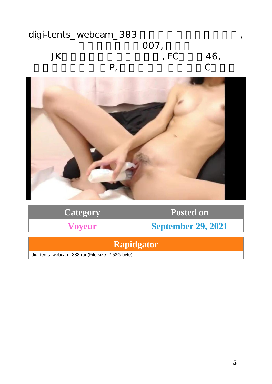### digi-tents\_webcam\_383 Zimes and the state of the state of the state of the state of the state of the state of the state of the state of the state of the state of the state of the state of the state of the state of the stat 007, JK P, FC 46,  $P$ , expecting  $\mathbf{C}$



**Category Posted on [Voyeur](https://javpop.link/category/voyeur) [September 29, 2021](https://javpop.link/2021/09/29)**

### **Rapidgator**

[digi-tents\\_webcam\\_383.rar](https://rapidgator.net/file/9facb0d645871fbefb0d6e42403c46c4/digi-tents_webcam_383.rar.html) (File size: 2.53G byte)